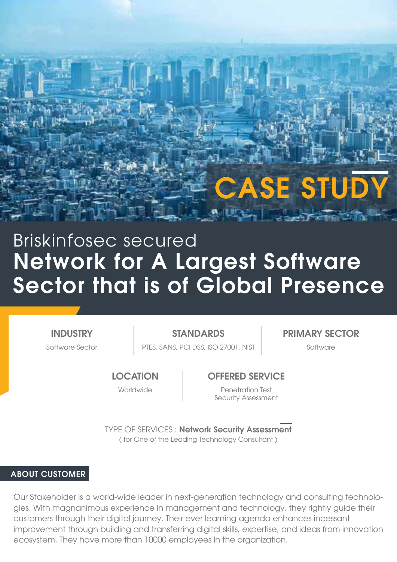# **CASE STUD**

# Network for A Largest Software Sector that is of Global Presence Briskinfosec secured

**INDUSTRY** 

Software Sector **PTES, SANS, PCI DSS, ISO 27001, NIST Software** Software STANDARDS **PRIMARY SECTOR** 

**LOCATION** 

Worldwide

#### OFFERED SERVICE

Penetration Test Security Assessment

TYPE OF SERVICES : Network Security Assessment ( for One of the Leading Technology Consultant )

#### ABOUT CUSTOMER

Our Stakeholder is a world-wide leader in next-generation technology and consulting technologies. With magnanimous experience in management and technology, they rightly guide their customers through their digital journey. Their ever learning agenda enhances incessant improvement through building and transferring digital skills, expertise, and ideas from innovation ecosystem. They have more than 10000 employees in the organization.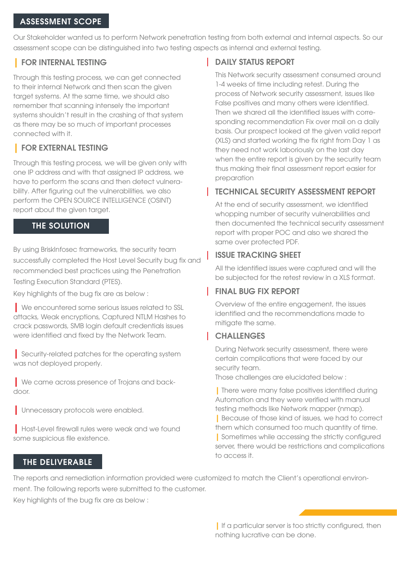#### ASSESSMENT SCOPE

Our Stakeholder wanted us to perform Network penetration testing from both external and internal aspects. So our assessment scope can be distinguished into two testing aspects as internal and external testing.

# | FOR INTERNAL TESTING

Through this testing process, we can get connected to their internal Network and then scan the given target systems. At the same time, we should also remember that scanning intensely the important systems shouldn't result in the crashing of that system as there may be so much of important processes connected with it.

# | FOR EXTERNAL TESTING

Through this testing process, we will be given only with one IP address and with that assigned IP address, we have to perform the scans and then detect vulnerability. After figuring out the vulnerabilities, we also perform the OPEN SOURCE INTELLIGENCE (OSINT) report about the given target.

### THE SOLUTION

By using BriskInfosec frameworks, the security team successfully completed the Host Level Security bug fix and recommended best practices using the Penetration Testing Execution Standard (PTES).

Key highlights of the bug fix are as below :

| We encountered some serious issues related to SSL attacks, Weak encryptions, Captured NTLM Hashes to crack passwords, SMB login default credentials issues were identified and fixed by the Network Team.

| Security-related patches for the operating system was not deployed properly.

| We came across presence of Trojans and backdoor.

| Unnecessary protocols were enabled.

| Host-Level firewall rules were weak and we found some suspicious file existence.

# **DAILY STATUS REPORT**

This Network security assessment consumed around 1-4 weeks of time including retest. During the process of Network security assessment, issues like False positives and many others were identified. Then we shared all the identified issues with corresponding recommendation Fix over mail on a daily basis. Our prospect looked at the given valid report (XLS) and started working the fix right from Day 1 as they need not work laboriously on the last day when the entire report is given by the security team thus making their final assessment report easier for preparation

# TECHNICAL SECURITY ASSESSMENT REPORT

At the end of security assessment, we identified whopping number of security vulnerabilities and then documented the technical security assessment report with proper POC and also we shared the same over protected PDF.

# ISSUE TRACKING SHEET

All the identified issues were captured and will the be subjected for the retest review in a XLS format.

# FINAL BUG FIX REPORT

Overview of the entire engagement, the issues identified and the recommendations made to mitigate the same.

# **CHALLENGES**

During Network security assessment, there were certain complications that were faced by our security team.

Those challenges are elucidated below :

| There were many false positives identified during Automation and they were verified with manual testing methods like Network mapper (nmap).

| Because of those kind of issues, we had to correct them which consumed too much quantity of time.

| Sometimes while accessing the strictly configured server, there would be restrictions and complications to access it.

## THE DELIVERABLE

The reports and remediation information provided were customized to match the Client's operational environment. The following reports were submitted to the customer.

Key highlights of the bug fix are as below :

| If a particular server is too strictly configured, then nothing lucrative can be done.